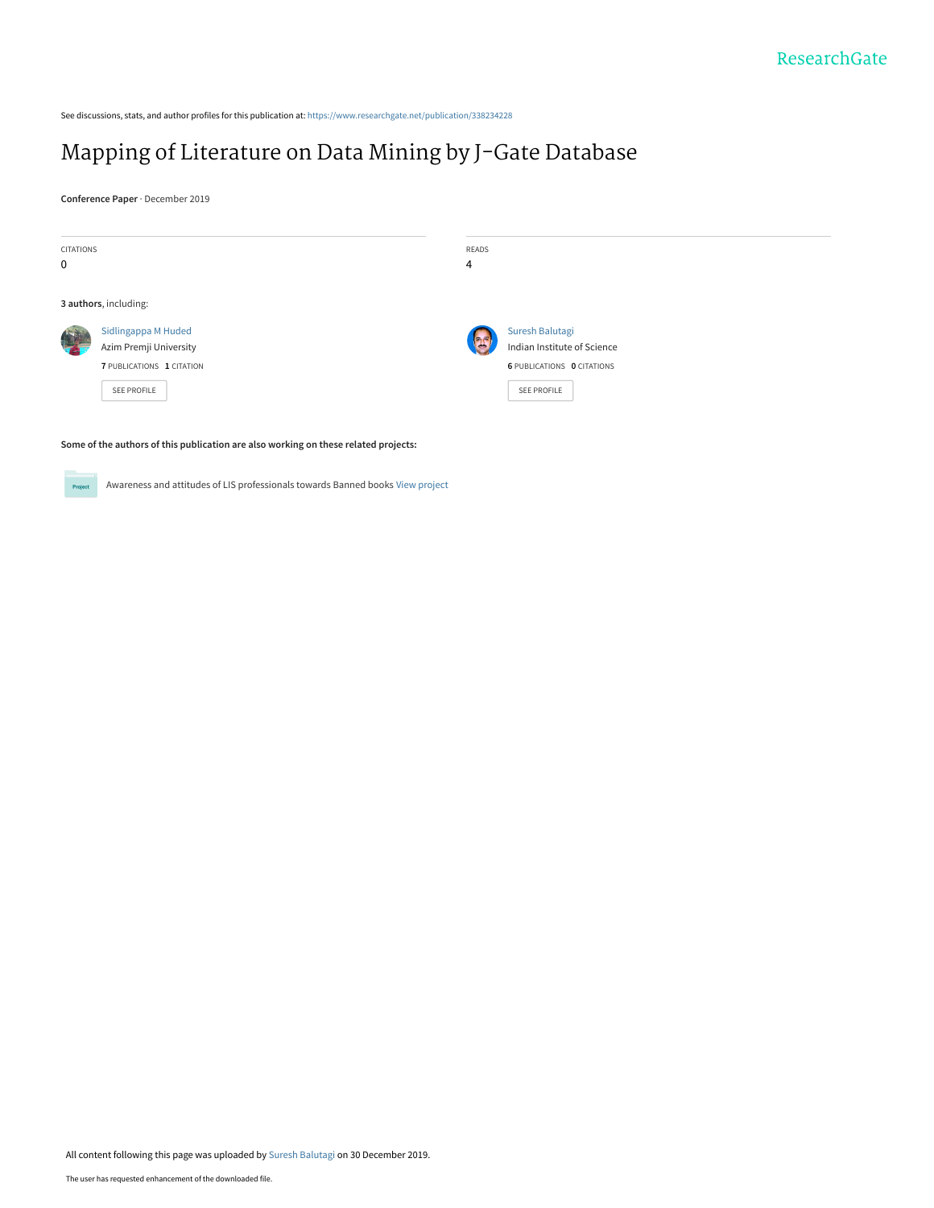See discussions, stats, and author profiles for this publication at: [https://www.researchgate.net/publication/338234228](https://www.researchgate.net/publication/338234228_Mapping_of_Literature_on_Data_Mining_by_J-Gate_Database?enrichId=rgreq-6d07ca1153334bfae00ccdbbdc4736ba-XXX&enrichSource=Y292ZXJQYWdlOzMzODIzNDIyODtBUzo4NDE4MzUwNDgwODc1NTNAMTU3NzcyMDUyNDM3Nw%3D%3D&el=1_x_2&_esc=publicationCoverPdf)

## [Mapping of Literature on Data Mining by J-Gate Database](https://www.researchgate.net/publication/338234228_Mapping_of_Literature_on_Data_Mining_by_J-Gate_Database?enrichId=rgreq-6d07ca1153334bfae00ccdbbdc4736ba-XXX&enrichSource=Y292ZXJQYWdlOzMzODIzNDIyODtBUzo4NDE4MzUwNDgwODc1NTNAMTU3NzcyMDUyNDM3Nw%3D%3D&el=1_x_3&_esc=publicationCoverPdf)

**Conference Paper** · December 2019



**Some of the authors of this publication are also working on these related projects:**



Awareness and attitudes of LIS professionals towards Banned books [View project](https://www.researchgate.net/project/Awareness-and-attitudes-of-LIS-professionals-towards-Banned-books?enrichId=rgreq-6d07ca1153334bfae00ccdbbdc4736ba-XXX&enrichSource=Y292ZXJQYWdlOzMzODIzNDIyODtBUzo4NDE4MzUwNDgwODc1NTNAMTU3NzcyMDUyNDM3Nw%3D%3D&el=1_x_9&_esc=publicationCoverPdf)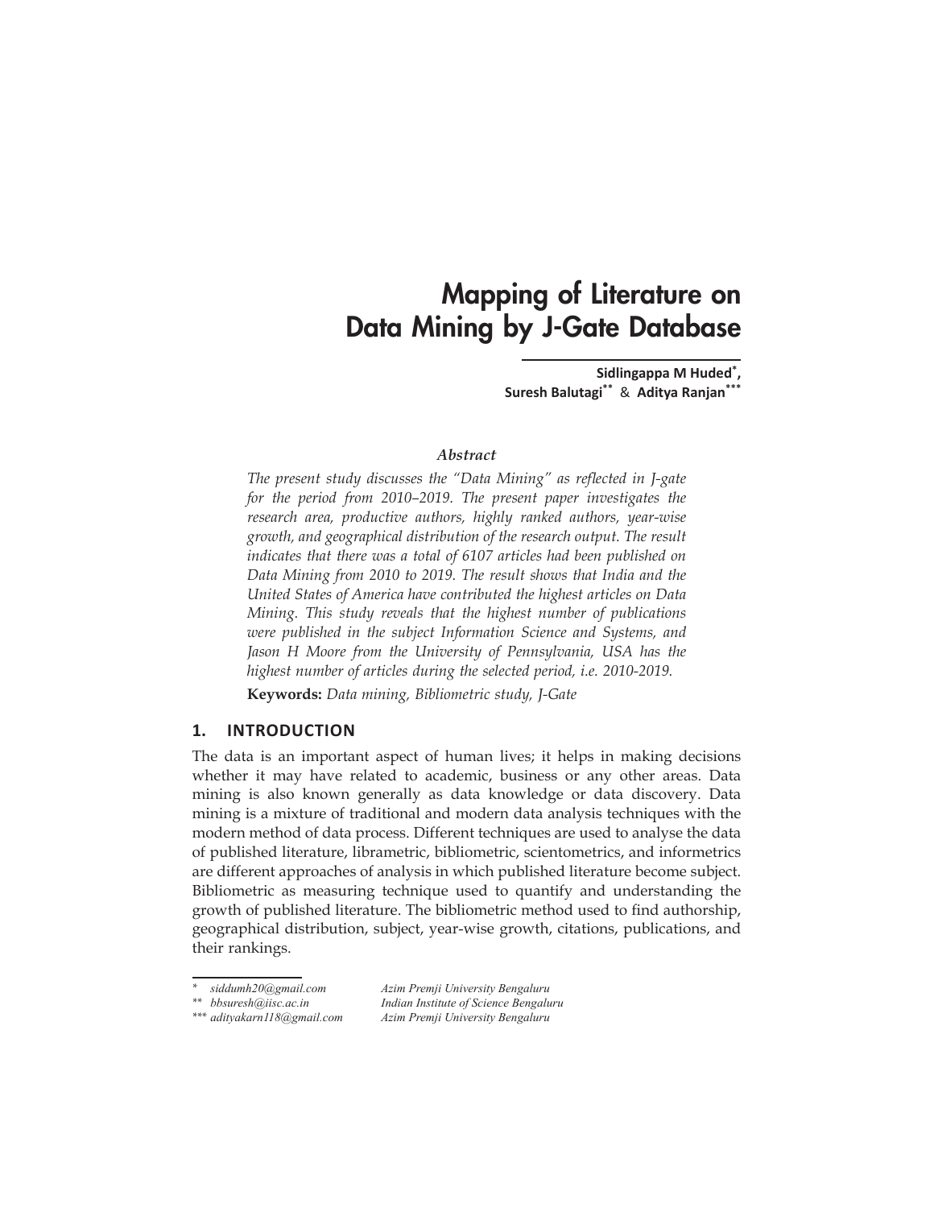# Mapping of Literature on Data Mining by J-Gate Database

**Sidlingappa M Huded\*, Suresh Balutagi\*\*** & **Aditya Ranjan\*\*\***

#### *Abstract*

*The present study discusses the "Data Mining" as reflected in J-gate for the period from 2010–2019. The present paper investigates the research area, productive authors, highly ranked authors, year-wise growth, and geographical distribution of the research output. The result indicates that there was a total of 6107 articles had been published on Data Mining from 2010 to 2019. The result shows that India and the United States of America have contributed the highest articles on Data Mining. This study reveals that the highest number of publications were published in the subject Information Science and Systems, and Jason H Moore from the University of Pennsylvania, USA has the highest number of articles during the selected period, i.e. 2010-2019.*

**Keywords:** *Data mining, Bibliometric study, J-Gate*

## **1. INTRODUCTION**

The data is an important aspect of human lives; it helps in making decisions whether it may have related to academic, business or any other areas. Data mining is also known generally as data knowledge or data discovery. Data mining is a mixture of traditional and modern data analysis techniques with the modern method of data process. Different techniques are used to analyse the data of published literature, librametric, bibliometric, scientometrics, and informetrics are different approaches of analysis in which published literature become subject. Bibliometric as measuring technique used to quantify and understanding the growth of published literature. The bibliometric method used to find authorship, geographical distribution, subject, year-wise growth, citations, publications, and their rankings.

*\* siddumh20@gmail.com Azim Premji University Bengaluru \*\* bbsuresh@iisc.ac.in Indian Institute of Science Bengaluru \*\*\* adityakarn118@gmail.com Azim Premji University Bengaluru*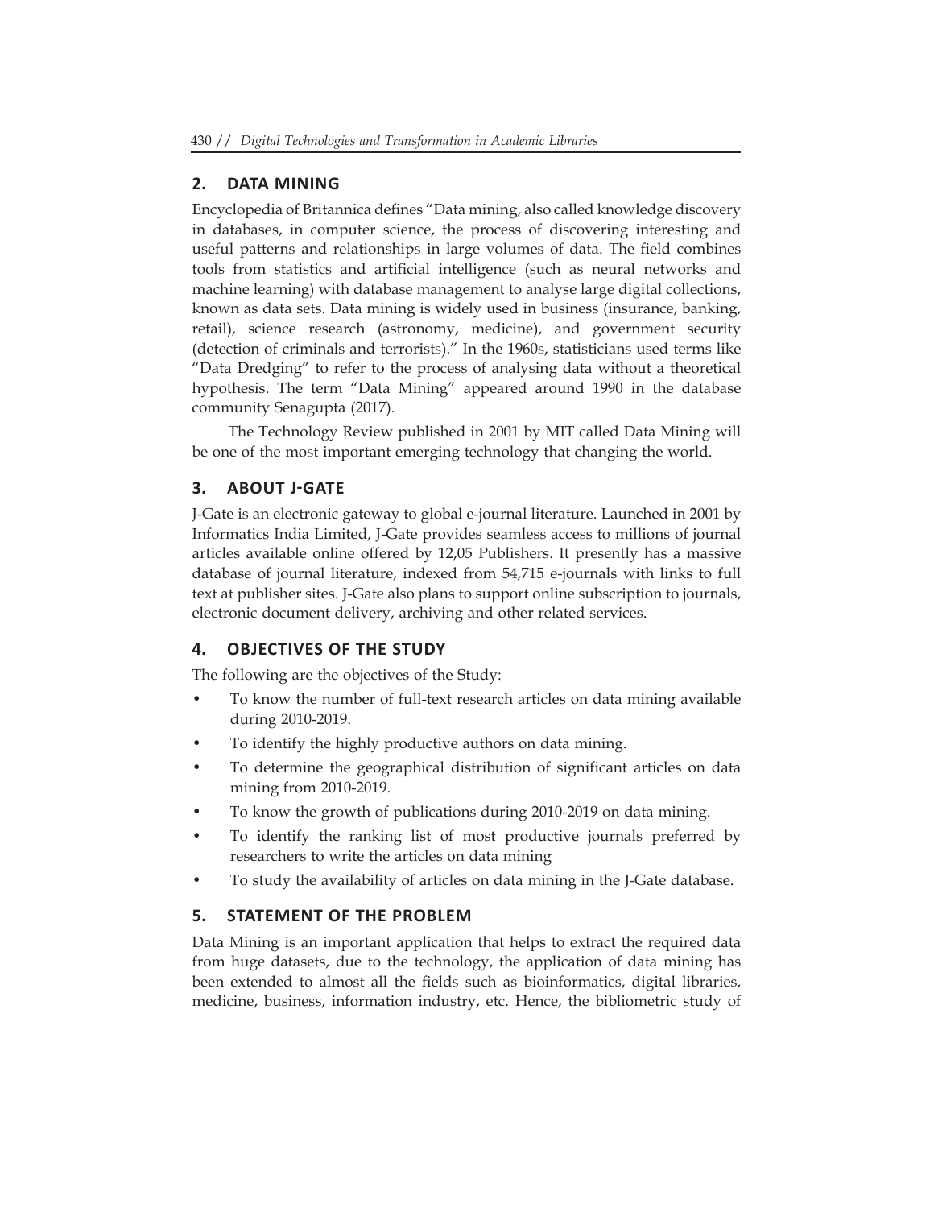## **2. DATA MINING**

Encyclopedia of Britannica defines "Data mining, also called knowledge discovery in databases, in computer science, the process of discovering interesting and useful patterns and relationships in large volumes of data. The field combines tools from statistics and artificial intelligence (such as neural networks and machine learning) with database management to analyse large digital collections, known as data sets. Data mining is widely used in business (insurance, banking, retail), science research (astronomy, medicine), and government security (detection of criminals and terrorists)." In the 1960s, statisticians used terms like "Data Dredging" to refer to the process of analysing data without a theoretical hypothesis. The term "Data Mining" appeared around 1990 in the database community Senagupta (2017).

The Technology Review published in 2001 by MIT called Data Mining will be one of the most important emerging technology that changing the world.

## **3. ABOUT J-GATE**

J-Gate is an electronic gateway to global e-journal literature. Launched in 2001 by Informatics India Limited, J-Gate provides seamless access to millions of journal articles available online offered by 12,05 Publishers. It presently has a massive database of journal literature, indexed from 54,715 e-journals with links to full text at publisher sites. J-Gate also plans to support online subscription to journals, electronic document delivery, archiving and other related services.

## **4. OBJECTIVES OF THE STUDY**

The following are the objectives of the Study:

- To know the number of full-text research articles on data mining available during 2010-2019.
- To identify the highly productive authors on data mining.
- To determine the geographical distribution of significant articles on data mining from 2010-2019.
- To know the growth of publications during 2010-2019 on data mining.
- To identify the ranking list of most productive journals preferred by researchers to write the articles on data mining
- To study the availability of articles on data mining in the J-Gate database.

## **5. STATEMENT OF THE PROBLEM**

Data Mining is an important application that helps to extract the required data from huge datasets, due to the technology, the application of data mining has been extended to almost all the fields such as bioinformatics, digital libraries, medicine, business, information industry, etc. Hence, the bibliometric study of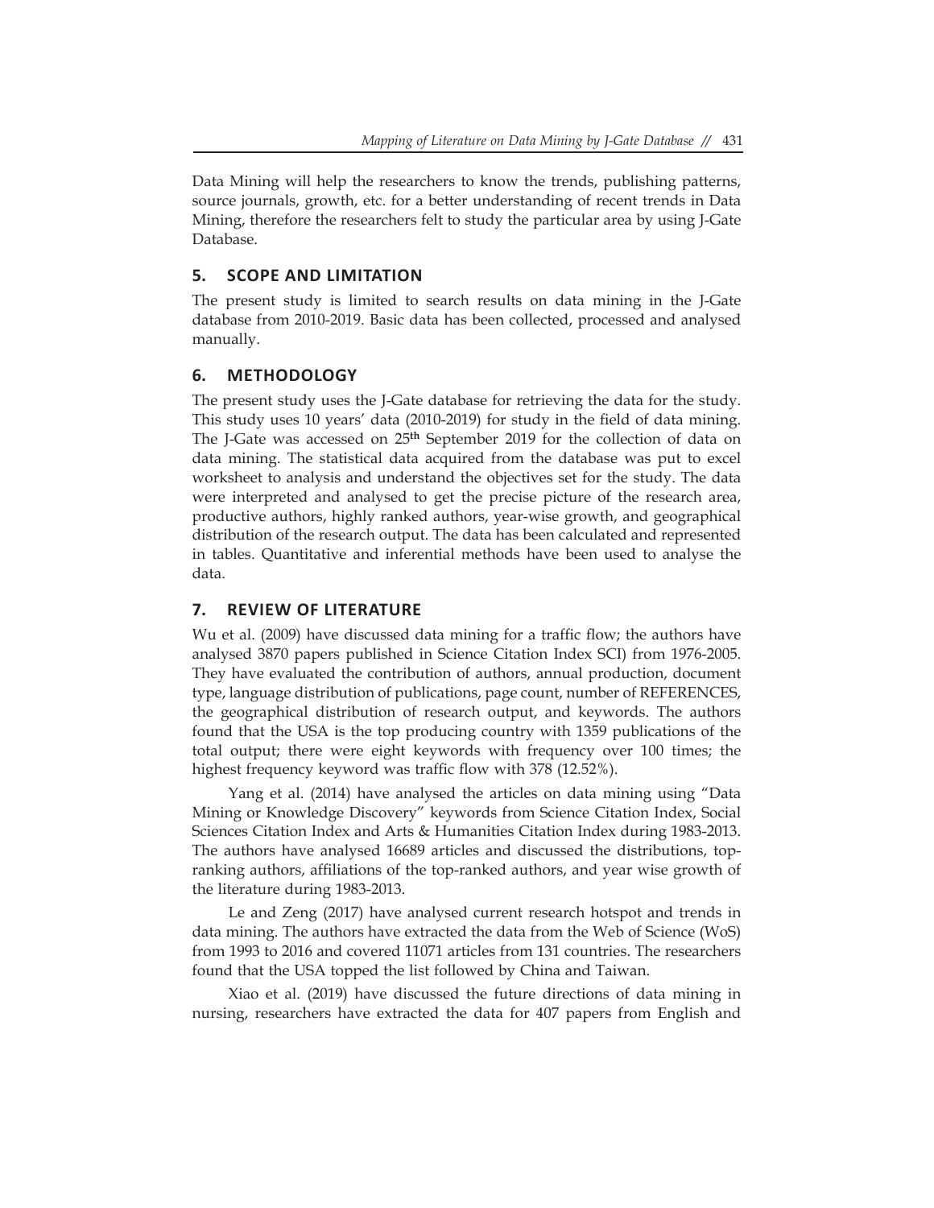Data Mining will help the researchers to know the trends, publishing patterns, source journals, growth, etc. for a better understanding of recent trends in Data Mining, therefore the researchers felt to study the particular area by using J-Gate Database.

#### **5. SCOPE AND LIMITATION**

The present study is limited to search results on data mining in the J-Gate database from 2010-2019. Basic data has been collected, processed and analysed manually.

#### **6. METHODOLOGY**

The present study uses the J-Gate database for retrieving the data for the study. This study uses 10 years' data (2010-2019) for study in the field of data mining. The J-Gate was accessed on 25**th** September 2019 for the collection of data on data mining. The statistical data acquired from the database was put to excel worksheet to analysis and understand the objectives set for the study. The data were interpreted and analysed to get the precise picture of the research area, productive authors, highly ranked authors, year-wise growth, and geographical distribution of the research output. The data has been calculated and represented in tables. Quantitative and inferential methods have been used to analyse the data.

#### **7. REVIEW OF LITERATURE**

Wu et al. (2009) have discussed data mining for a traffic flow; the authors have analysed 3870 papers published in Science Citation Index SCI) from 1976-2005. They have evaluated the contribution of authors, annual production, document type, language distribution of publications, page count, number of REFERENCES, the geographical distribution of research output, and keywords. The authors found that the USA is the top producing country with 1359 publications of the total output; there were eight keywords with frequency over 100 times; the highest frequency keyword was traffic flow with 378 (12.52%).

Yang et al. (2014) have analysed the articles on data mining using "Data Mining or Knowledge Discovery" keywords from Science Citation Index, Social Sciences Citation Index and Arts & Humanities Citation Index during 1983-2013. The authors have analysed 16689 articles and discussed the distributions, topranking authors, affiliations of the top-ranked authors, and year wise growth of the literature during 1983-2013.

Le and Zeng (2017) have analysed current research hotspot and trends in data mining. The authors have extracted the data from the Web of Science (WoS) from 1993 to 2016 and covered 11071 articles from 131 countries. The researchers found that the USA topped the list followed by China and Taiwan.

Xiao et al. (2019) have discussed the future directions of data mining in nursing, researchers have extracted the data for 407 papers from English and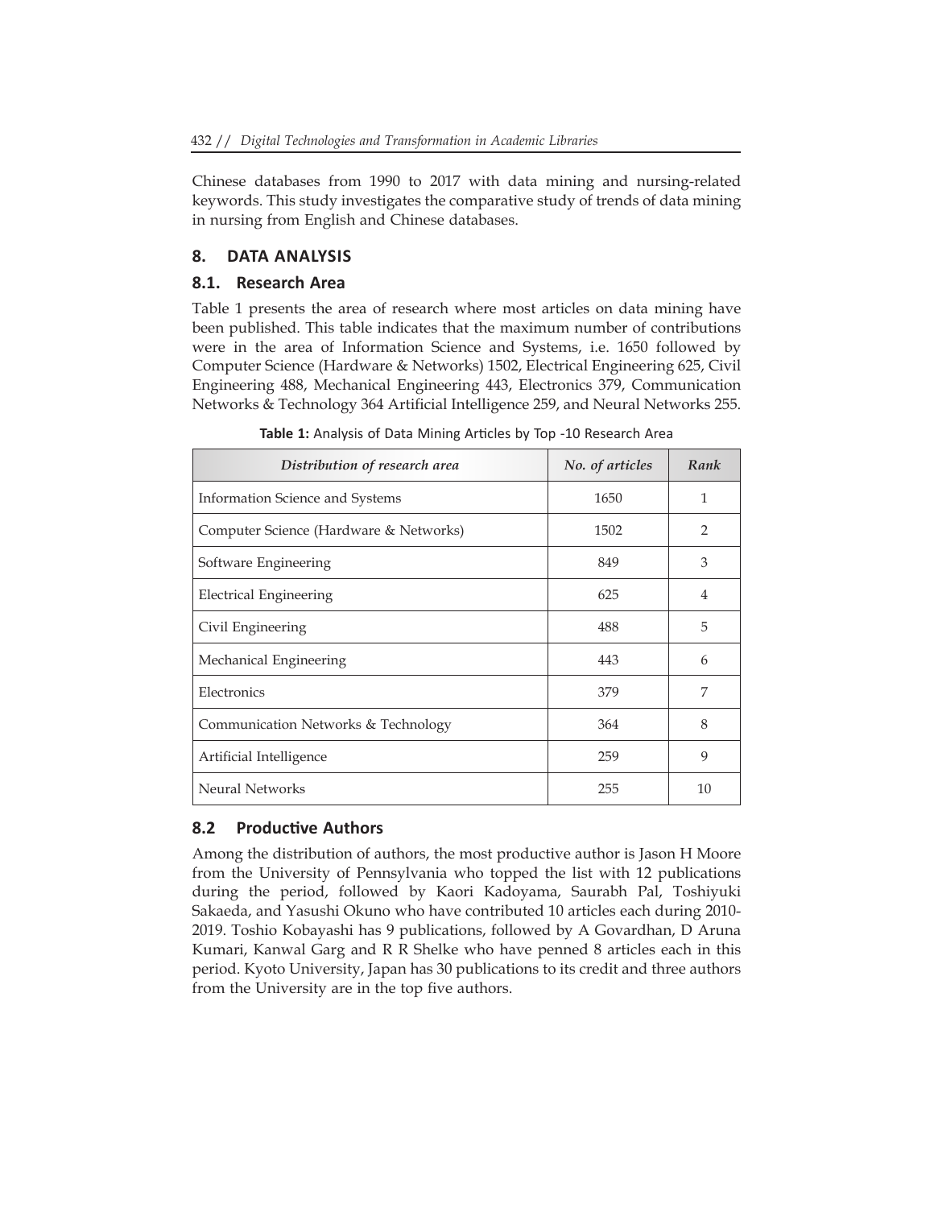Chinese databases from 1990 to 2017 with data mining and nursing-related keywords. This study investigates the comparative study of trends of data mining in nursing from English and Chinese databases.

## **8. DATA ANALYSIS**

## **8.1. Research Area**

Table 1 presents the area of research where most articles on data mining have been published. This table indicates that the maximum number of contributions were in the area of Information Science and Systems, i.e. 1650 followed by Computer Science (Hardware & Networks) 1502, Electrical Engineering 625, Civil Engineering 488, Mechanical Engineering 443, Electronics 379, Communication Networks & Technology 364 Artificial Intelligence 259, and Neural Networks 255.

| Distribution of research area          | No. of articles | Rank           |
|----------------------------------------|-----------------|----------------|
| Information Science and Systems        | 1650            | 1              |
| Computer Science (Hardware & Networks) | 1502            | 2              |
| Software Engineering                   | 849             | 3              |
| <b>Electrical Engineering</b>          | 625             | $\overline{4}$ |
| Civil Engineering                      | 488             | 5              |
| Mechanical Engineering                 | 443             | 6              |
| Electronics                            | 379             | 7              |
| Communication Networks & Technology    | 364             | 8              |
| Artificial Intelligence                | 259             | 9              |
| Neural Networks                        | 255             | 10             |

**Table 1:** Analysis of Data Mining Articles by Top -10 Research Area

### **8.2 Productive Authors**

Among the distribution of authors, the most productive author is Jason H Moore from the University of Pennsylvania who topped the list with 12 publications during the period, followed by Kaori Kadoyama, Saurabh Pal, Toshiyuki Sakaeda, and Yasushi Okuno who have contributed 10 articles each during 2010- 2019. Toshio Kobayashi has 9 publications, followed by A Govardhan, D Aruna Kumari, Kanwal Garg and R R Shelke who have penned 8 articles each in this period. Kyoto University, Japan has 30 publications to its credit and three authors from the University are in the top five authors.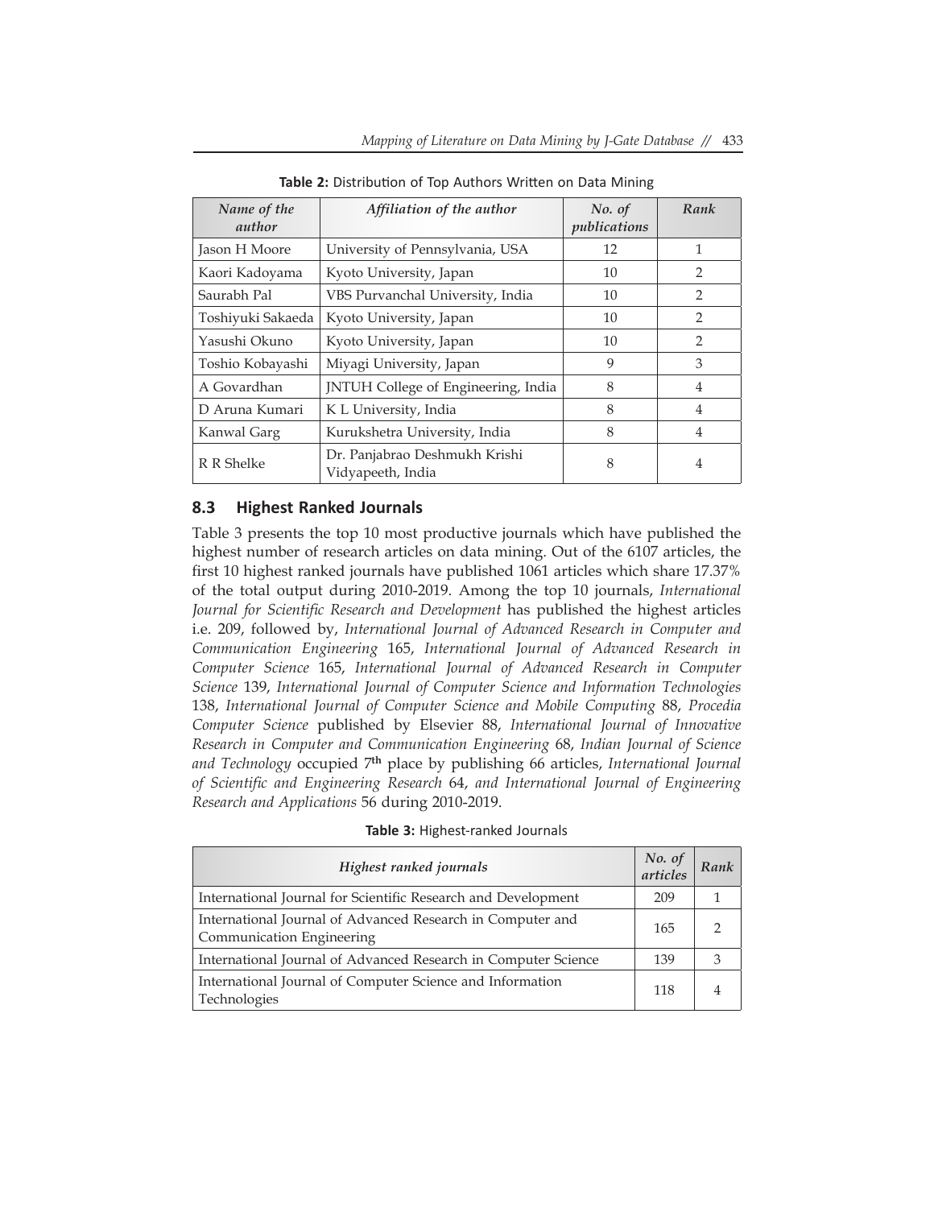| Name of the<br>author                                            | Affiliation of the author           | No. of<br>publications | Rank           |
|------------------------------------------------------------------|-------------------------------------|------------------------|----------------|
| Jason H Moore                                                    | University of Pennsylvania, USA     | 12                     | 1              |
| Kaori Kadoyama                                                   | Kyoto University, Japan             | 10                     | $\overline{2}$ |
| Saurabh Pal                                                      | VBS Purvanchal University, India    | 10                     | $\overline{2}$ |
| Toshiyuki Sakaeda                                                | Kyoto University, Japan             | 10                     | 2              |
| Yasushi Okuno                                                    | Kyoto University, Japan             | 10                     | $\mathcal{P}$  |
| Toshio Kobayashi                                                 | Miyagi University, Japan            | 9                      | 3              |
| A Govardhan                                                      | JNTUH College of Engineering, India | 8                      | $\overline{4}$ |
| D Aruna Kumari                                                   | K L University, India               | 8                      | $\overline{4}$ |
| Kanwal Garg                                                      | Kurukshetra University, India       | 8                      | $\overline{4}$ |
| Dr. Panjabrao Deshmukh Krishi<br>R R Shelke<br>Vidyapeeth, India |                                     | 8                      | $\overline{4}$ |

**Table 2:** Distribution of Top Authors Written on Data Mining

#### **8.3 Highest Ranked Journals**

Table 3 presents the top 10 most productive journals which have published the highest number of research articles on data mining. Out of the 6107 articles, the first 10 highest ranked journals have published 1061 articles which share 17.37% of the total output during 2010-2019. Among the top 10 journals, *International Journal for Scientific Research and Development* has published the highest articles i.e. 209, followed by, *International Journal of Advanced Research in Computer and Communication Engineering* 165, *International Journal of Advanced Research in Computer Science* 165, *International Journal of Advanced Research in Computer Science* 139, *International Journal of Computer Science and Information Technologies* 138, *International Journal of Computer Science and Mobile Computing* 88, *Procedia Computer Science* published by Elsevier 88, *International Journal of Innovative Research in Computer and Communication Engineering* 68, *Indian Journal of Science and Technology* occupied 7**th** place by publishing 66 articles, *International Journal of Scientific and Engineering Research* 64, *and International Journal of Engineering Research and Applications* 56 during 2010-2019.

| Highest ranked journals                                                                 | No. of<br>articles | Rank |
|-----------------------------------------------------------------------------------------|--------------------|------|
| International Journal for Scientific Research and Development                           | 209                |      |
| International Journal of Advanced Research in Computer and<br>Communication Engineering | 165                |      |
| International Journal of Advanced Research in Computer Science                          | 139                |      |
| International Journal of Computer Science and Information<br>Technologies               | 118                |      |

**Table 3:** Highest-ranked Journals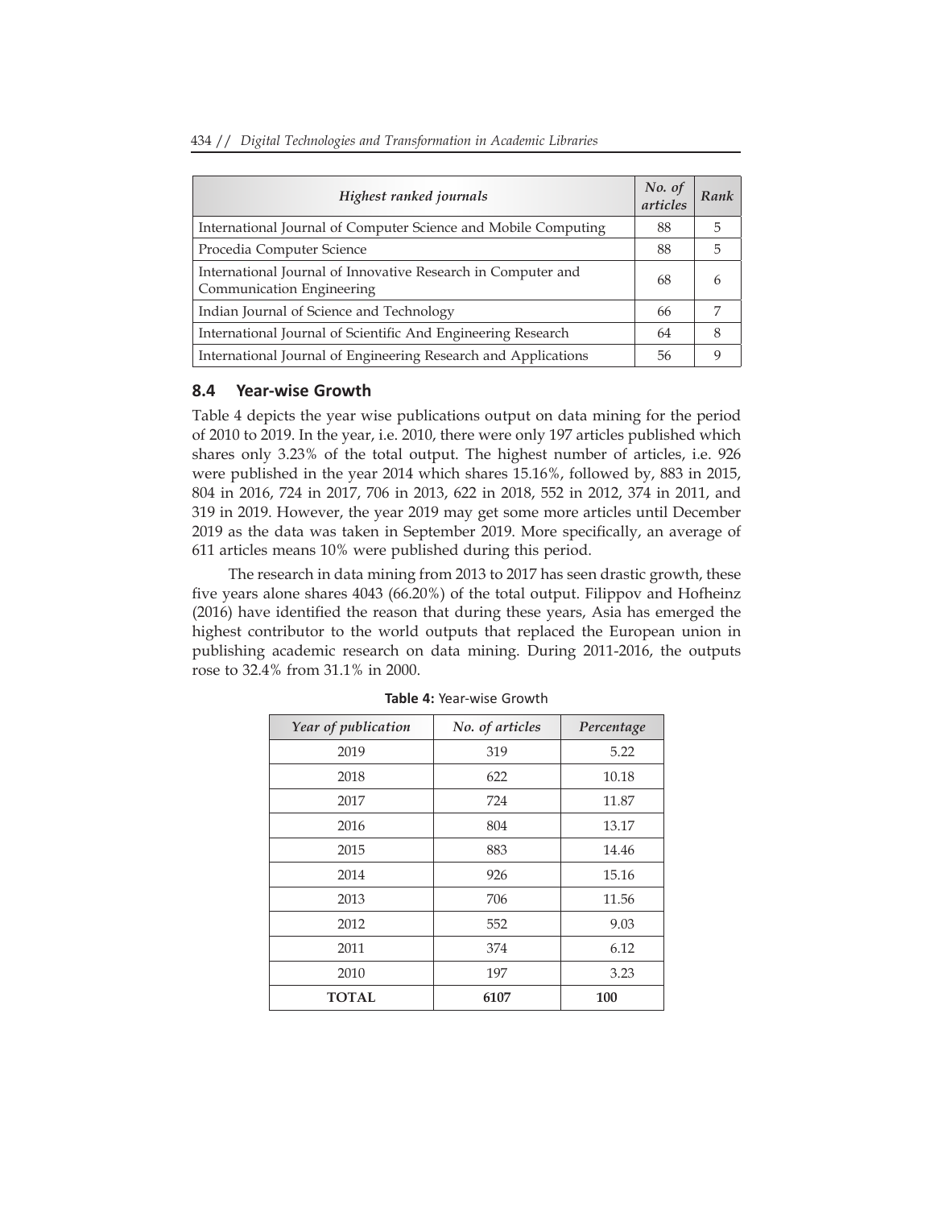|  |  |  | 434 // Digital Technologies and Transformation in Academic Libraries |  |  |
|--|--|--|----------------------------------------------------------------------|--|--|

| Highest ranked journals                                                                   | No. of<br>articles | <b>Rank</b> |
|-------------------------------------------------------------------------------------------|--------------------|-------------|
| International Journal of Computer Science and Mobile Computing                            | 88                 | 5           |
| Procedia Computer Science                                                                 | 88                 | 5           |
| International Journal of Innovative Research in Computer and<br>Communication Engineering | 68                 | h           |
| Indian Journal of Science and Technology                                                  | 66                 |             |
| International Journal of Scientific And Engineering Research                              | 64                 | 8           |
| International Journal of Engineering Research and Applications                            | 56                 | 9           |

#### **8.4 Year-wise Growth**

Table 4 depicts the year wise publications output on data mining for the period of 2010 to 2019. In the year, i.e. 2010, there were only 197 articles published which shares only 3.23% of the total output. The highest number of articles, i.e. 926 were published in the year 2014 which shares 15.16%, followed by, 883 in 2015, 804 in 2016, 724 in 2017, 706 in 2013, 622 in 2018, 552 in 2012, 374 in 2011, and 319 in 2019. However, the year 2019 may get some more articles until December 2019 as the data was taken in September 2019. More specifically, an average of 611 articles means 10% were published during this period.

The research in data mining from 2013 to 2017 has seen drastic growth, these five years alone shares 4043 (66.20%) of the total output. Filippov and Hofheinz (2016) have identified the reason that during these years, Asia has emerged the highest contributor to the world outputs that replaced the European union in publishing academic research on data mining. During 2011-2016, the outputs rose to 32.4% from 31.1% in 2000.

| Year of publication | No. of articles | Percentage |
|---------------------|-----------------|------------|
| 2019                | 319             | 5.22       |
| 2018                | 622             | 10.18      |
| 2017                | 724             | 11.87      |
| 2016                | 804             | 13.17      |
| 2015                | 883             | 14.46      |
| 2014                | 926             | 15.16      |
| 2013                | 706             | 11.56      |
| 2012                | 552             | 9.03       |
| 2011                | 374             | 6.12       |
| 2010                | 197             | 3.23       |
| <b>TOTAL</b>        | 6107            | 100        |

**Table 4:** Year-wise Growth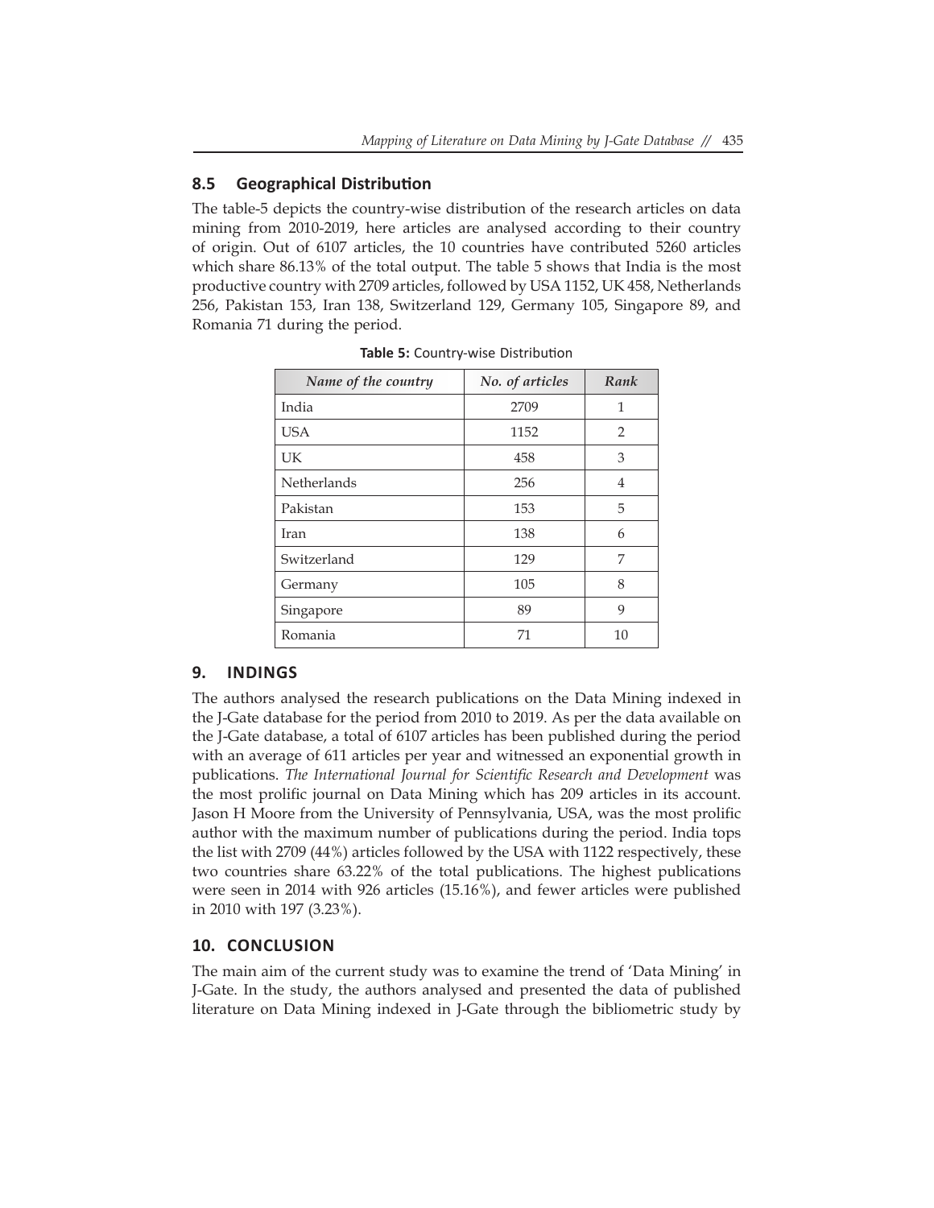## **8.5 Geographical Distribution**

The table-5 depicts the country-wise distribution of the research articles on data mining from 2010-2019, here articles are analysed according to their country of origin. Out of 6107 articles, the 10 countries have contributed 5260 articles which share 86.13% of the total output. The table 5 shows that India is the most productive country with 2709 articles, followed by USA 1152, UK 458, Netherlands 256, Pakistan 153, Iran 138, Switzerland 129, Germany 105, Singapore 89, and Romania 71 during the period.

| Name of the country | No. of articles | Rank           |
|---------------------|-----------------|----------------|
| India               | 2709            | 1              |
| <b>USA</b>          | 1152            | $\overline{2}$ |
| UK                  | 458             | 3              |
| <b>Netherlands</b>  | 256             | 4              |
| Pakistan            | 153             | 5              |
| Iran                | 138             | 6              |
| Switzerland         | 129             | 7              |
| Germany             | 105             | 8              |
| Singapore           | 89              | 9              |
| Romania             | 71              | 10             |

**Table 5:** Country-wise Distribution

#### **9. INDINGS**

The authors analysed the research publications on the Data Mining indexed in the J-Gate database for the period from 2010 to 2019. As per the data available on the J-Gate database, a total of 6107 articles has been published during the period with an average of 611 articles per year and witnessed an exponential growth in publications. *The International Journal for Scientific Research and Development* was the most prolific journal on Data Mining which has 209 articles in its account. Jason H Moore from the University of Pennsylvania, USA, was the most prolific author with the maximum number of publications during the period. India tops the list with 2709 (44%) articles followed by the USA with 1122 respectively, these two countries share 63.22% of the total publications. The highest publications were seen in 2014 with 926 articles (15.16%), and fewer articles were published in 2010 with 197 (3.23%).

#### **10. CONCLUSION**

The main aim of the current study was to examine the trend of 'Data Mining' in J-Gate. In the study, the authors analysed and presented the data of published literature on Data Mining indexed in J-Gate through the bibliometric study by